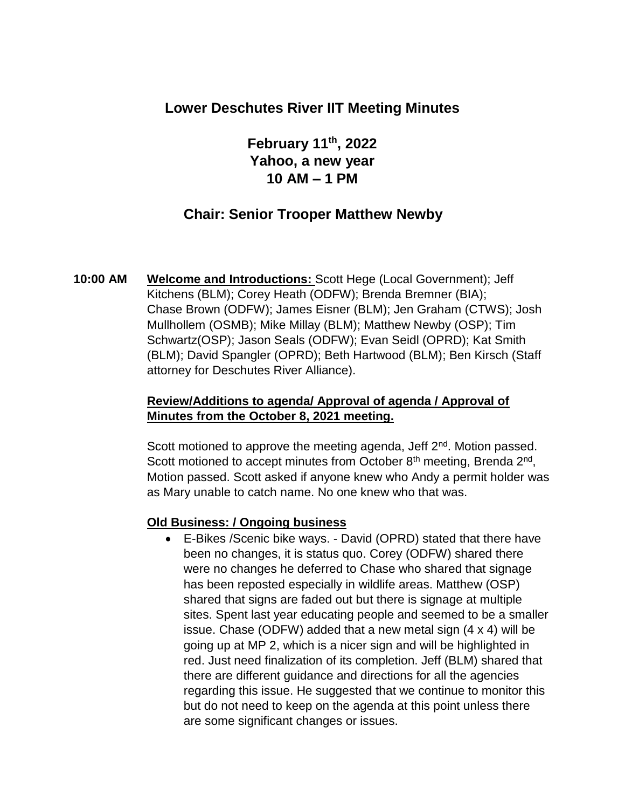## **Lower Deschutes River IIT Meeting Minutes**

**February 11th, 2022 Yahoo, a new year 10 AM – 1 PM**

## **Chair: Senior Trooper Matthew Newby**

**10:00 AM Welcome and Introductions:** Scott Hege (Local Government); Jeff Kitchens (BLM); Corey Heath (ODFW); Brenda Bremner (BIA); Chase Brown (ODFW); James Eisner (BLM); Jen Graham (CTWS); Josh Mullhollem (OSMB); Mike Millay (BLM); Matthew Newby (OSP); Tim Schwartz(OSP); Jason Seals (ODFW); Evan Seidl (OPRD); Kat Smith (BLM); David Spangler (OPRD); Beth Hartwood (BLM); Ben Kirsch (Staff attorney for Deschutes River Alliance).

### **Review/Additions to agenda/ Approval of agenda / Approval of Minutes from the October 8, 2021 meeting.**

Scott motioned to approve the meeting agenda, Jeff 2<sup>nd</sup>. Motion passed. Scott motioned to accept minutes from October 8<sup>th</sup> meeting, Brenda 2<sup>nd</sup>, Motion passed. Scott asked if anyone knew who Andy a permit holder was as Mary unable to catch name. No one knew who that was.

#### **Old Business: / Ongoing business**

• E-Bikes /Scenic bike ways. - David (OPRD) stated that there have been no changes, it is status quo. Corey (ODFW) shared there were no changes he deferred to Chase who shared that signage has been reposted especially in wildlife areas. Matthew (OSP) shared that signs are faded out but there is signage at multiple sites. Spent last year educating people and seemed to be a smaller issue. Chase (ODFW) added that a new metal sign (4 x 4) will be going up at MP 2, which is a nicer sign and will be highlighted in red. Just need finalization of its completion. Jeff (BLM) shared that there are different guidance and directions for all the agencies regarding this issue. He suggested that we continue to monitor this but do not need to keep on the agenda at this point unless there are some significant changes or issues.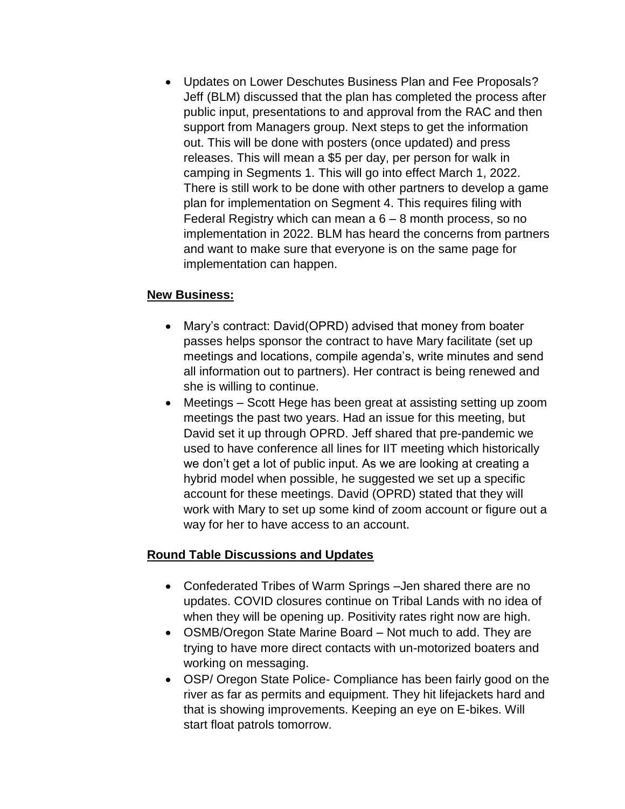• Updates on Lower Deschutes Business Plan and Fee Proposals? Jeff (BLM) discussed that the plan has completed the process after public input, presentations to and approval from the RAC and then support from Managers group. Next steps to get the information out. This will be done with posters (once updated) and press releases. This will mean a \$5 per day, per person for walk in camping in Segments 1. This will go into effect March 1, 2022. There is still work to be done with other partners to develop a game plan for implementation on Segment 4. This requires filing with Federal Registry which can mean  $a\,6 - 8$  month process, so no implementation in 2022. BLM has heard the concerns from partners and want to make sure that everyone is on the same page for implementation can happen.

### **New Business:**

- Mary's contract: David(OPRD) advised that money from boater passes helps sponsor the contract to have Mary facilitate (set up meetings and locations, compile agenda's, write minutes and send all information out to partners). Her contract is being renewed and she is willing to continue.
- Meetings Scott Hege has been great at assisting setting up zoom meetings the past two years. Had an issue for this meeting, but David set it up through OPRD. Jeff shared that pre-pandemic we used to have conference all lines for IIT meeting which historically we don't get a lot of public input. As we are looking at creating a hybrid model when possible, he suggested we set up a specific account for these meetings. David (OPRD) stated that they will work with Mary to set up some kind of zoom account or figure out a way for her to have access to an account.

## **Round Table Discussions and Updates**

- Confederated Tribes of Warm Springs –Jen shared there are no updates. COVID closures continue on Tribal Lands with no idea of when they will be opening up. Positivity rates right now are high.
- OSMB/Oregon State Marine Board Not much to add. They are trying to have more direct contacts with un-motorized boaters and working on messaging.
- OSP/ Oregon State Police- Compliance has been fairly good on the river as far as permits and equipment. They hit lifejackets hard and that is showing improvements. Keeping an eye on E-bikes. Will start float patrols tomorrow.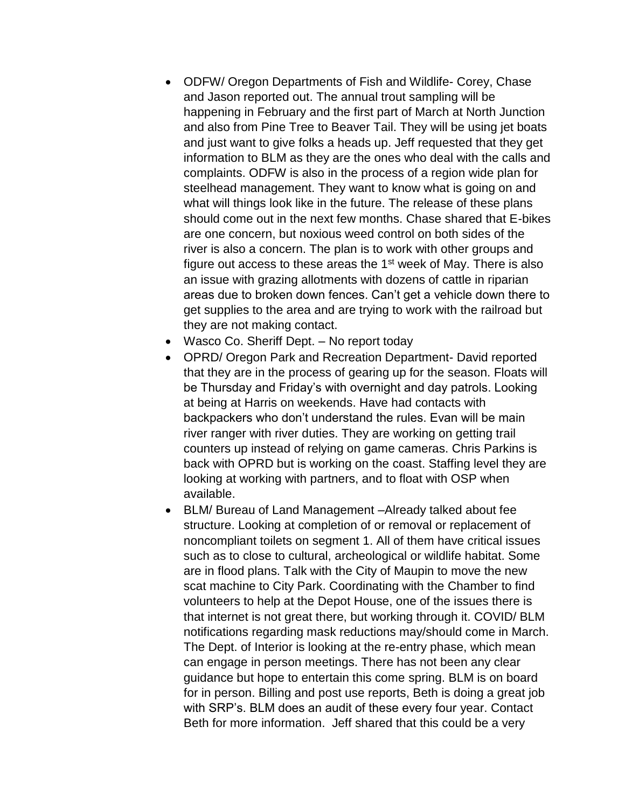- ODFW/ Oregon Departments of Fish and Wildlife- Corey, Chase and Jason reported out. The annual trout sampling will be happening in February and the first part of March at North Junction and also from Pine Tree to Beaver Tail. They will be using jet boats and just want to give folks a heads up. Jeff requested that they get information to BLM as they are the ones who deal with the calls and complaints. ODFW is also in the process of a region wide plan for steelhead management. They want to know what is going on and what will things look like in the future. The release of these plans should come out in the next few months. Chase shared that E-bikes are one concern, but noxious weed control on both sides of the river is also a concern. The plan is to work with other groups and figure out access to these areas the  $1<sup>st</sup>$  week of May. There is also an issue with grazing allotments with dozens of cattle in riparian areas due to broken down fences. Can't get a vehicle down there to get supplies to the area and are trying to work with the railroad but they are not making contact.
- Wasco Co. Sheriff Dept. No report today
- OPRD/ Oregon Park and Recreation Department- David reported that they are in the process of gearing up for the season. Floats will be Thursday and Friday's with overnight and day patrols. Looking at being at Harris on weekends. Have had contacts with backpackers who don't understand the rules. Evan will be main river ranger with river duties. They are working on getting trail counters up instead of relying on game cameras. Chris Parkins is back with OPRD but is working on the coast. Staffing level they are looking at working with partners, and to float with OSP when available.
- BLM/ Bureau of Land Management –Already talked about fee structure. Looking at completion of or removal or replacement of noncompliant toilets on segment 1. All of them have critical issues such as to close to cultural, archeological or wildlife habitat. Some are in flood plans. Talk with the City of Maupin to move the new scat machine to City Park. Coordinating with the Chamber to find volunteers to help at the Depot House, one of the issues there is that internet is not great there, but working through it. COVID/ BLM notifications regarding mask reductions may/should come in March. The Dept. of Interior is looking at the re-entry phase, which mean can engage in person meetings. There has not been any clear guidance but hope to entertain this come spring. BLM is on board for in person. Billing and post use reports, Beth is doing a great job with SRP's. BLM does an audit of these every four year. Contact Beth for more information. Jeff shared that this could be a very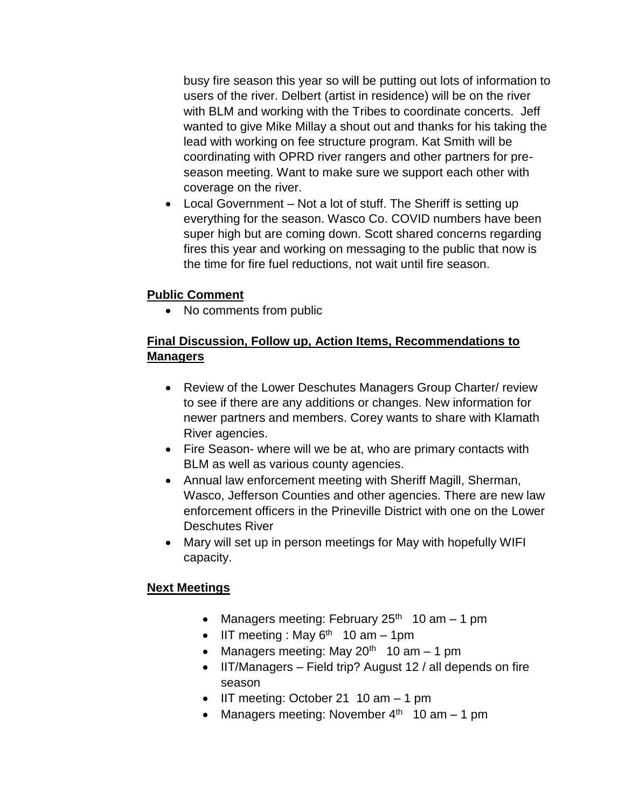busy fire season this year so will be putting out lots of information to users of the river. Delbert (artist in residence) will be on the river with BLM and working with the Tribes to coordinate concerts. Jeff wanted to give Mike Millay a shout out and thanks for his taking the lead with working on fee structure program. Kat Smith will be coordinating with OPRD river rangers and other partners for preseason meeting. Want to make sure we support each other with coverage on the river.

• Local Government – Not a lot of stuff. The Sheriff is setting up everything for the season. Wasco Co. COVID numbers have been super high but are coming down. Scott shared concerns regarding fires this year and working on messaging to the public that now is the time for fire fuel reductions, not wait until fire season.

## **Public Comment**

• No comments from public

## **Final Discussion, Follow up, Action Items, Recommendations to Managers**

- Review of the Lower Deschutes Managers Group Charter/ review to see if there are any additions or changes. New information for newer partners and members. Corey wants to share with Klamath River agencies.
- Fire Season- where will we be at, who are primary contacts with BLM as well as various county agencies.
- Annual law enforcement meeting with Sheriff Magill, Sherman, Wasco, Jefferson Counties and other agencies. There are new law enforcement officers in the Prineville District with one on the Lower Deschutes River
- Mary will set up in person meetings for May with hopefully WIFI capacity.

#### **Next Meetings**

- Managers meeting: February 25<sup>th</sup> 10 am  $-$  1 pm
- IIT meeting : May  $6<sup>th</sup>$  10 am 1pm
- Managers meeting: May  $20<sup>th</sup> 10$  am  $-1$  pm
- IIT/Managers Field trip? August 12 / all depends on fire season
- IIT meeting: October 21 10 am 1 pm
- Managers meeting: November  $4<sup>th</sup> 10$  am  $-1$  pm